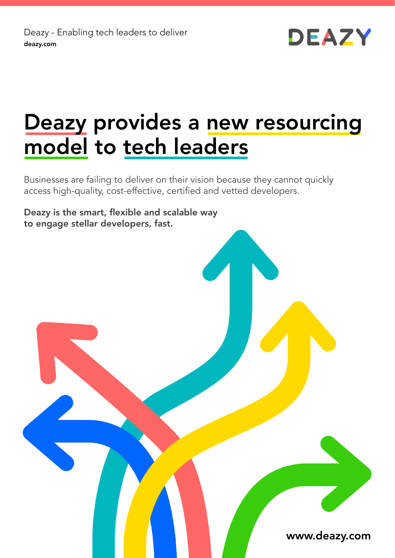Deazy - Enabling tech leaders to deliver deazy.com



# Deazy provides a new resourcing model to tech leaders

Businesses are failing to deliver on their vision because they cannot quickly access high-quality, cost-effective, certified and vetted developers.

Deazy is the smart, flexible and scalable way to engage stellar developers, fast.

www.deazy.com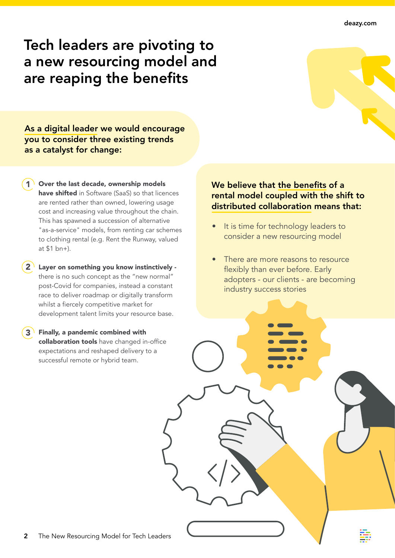## Tech leaders are pivoting to a new resourcing model and are reaping the benefits

As a digital leader we would encourage you to consider three existing trends as a catalyst for change:

- Over the last decade, ownership models have shifted in Software (SaaS) so that licences are rented rather than owned, lowering usage cost and increasing value throughout the chain. This has spawned a succession of alternative "as-a-service" models, from renting car schemes to clothing rental (e.g. Rent the Runway, valued at \$1 bn+).
- Layer on something you know instinctively there is no such concept as the "new normal" post-Covid for companies, instead a constant race to deliver roadmap or digitally transform whilst a fiercely competitive market for development talent limits your resource base.  $2^{\prime}$
- Finally, a pandemic combined with collaboration tools have changed in-office expectations and reshaped delivery to a successful remote or hybrid team. 3

#### We believe that the benefits of a rental model coupled with the shift to distributed collaboration means that:

- It is time for technology leaders to consider a new resourcing model
- There are more reasons to resource flexibly than ever before. Early adopters - our clients - are becoming industry success stories

2 The New Resourcing Model for Tech Leaders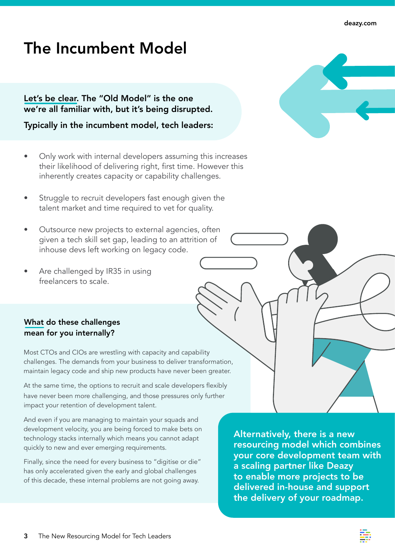## The Incumbent Model

Let's be clear. The "Old Model" is the one we're all familiar with, but it's being disrupted.

Typically in the incumbent model, tech leaders:

- Only work with internal developers assuming this increases their likelihood of delivering right, first time. However this inherently creates capacity or capability challenges.
- Struggle to recruit developers fast enough given the talent market and time required to vet for quality.
- Outsource new projects to external agencies, often given a tech skill set gap, leading to an attrition of inhouse devs left working on legacy code.
- Are challenged by IR35 in using freelancers to scale.

#### What do these challenges mean for you internally?

Most CTOs and CIOs are wrestling with capacity and capability challenges. The demands from your business to deliver transformation, maintain legacy code and ship new products have never been greater.

At the same time, the options to recruit and scale developers flexibly have never been more challenging, and those pressures only further impact your retention of development talent.

And even if you are managing to maintain your squads and development velocity, you are being forced to make bets on technology stacks internally which means you cannot adapt quickly to new and ever emerging requirements.

Finally, since the need for every business to "digitise or die" has only accelerated given the early and global challenges of this decade, these internal problems are not going away.

Alternatively, there is a new resourcing model which combines your core development team with a scaling partner like Deazy to enable more projects to be delivered in-house and support the delivery of your roadmap.



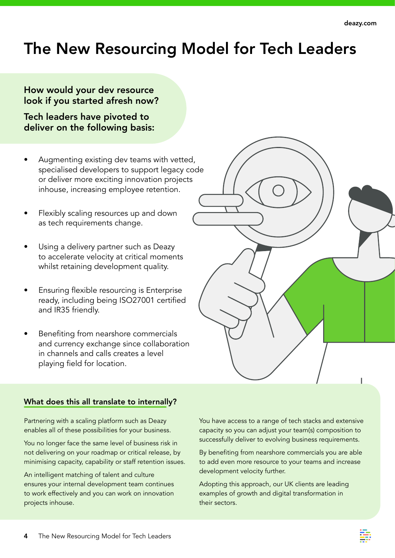## The New Resourcing Model for Tech Leaders

#### How would your dev resource look if you started afresh now?

Tech leaders have pivoted to deliver on the following basis:

- Augmenting existing dev teams with vetted, specialised developers to support legacy code or deliver more exciting innovation projects inhouse, increasing employee retention.
- Flexibly scaling resources up and down as tech requirements change.
- Using a delivery partner such as Deazy to accelerate velocity at critical moments whilst retaining development quality.
- Ensuring flexible resourcing is Enterprise ready, including being ISO27001 certified and IR35 friendly.
- Benefiting from nearshore commercials and currency exchange since collaboration in channels and calls creates a level playing field for location.

| l,<br>ɔde |  |  |  |
|-----------|--|--|--|
|           |  |  |  |
|           |  |  |  |

#### What does this all translate to internally?

Partnering with a scaling platform such as Deazy enables all of these possibilities for your business.

You no longer face the same level of business risk in not delivering on your roadmap or critical release, by minimising capacity, capability or staff retention issues.

An intelligent matching of talent and culture ensures your internal development team continues to work effectively and you can work on innovation projects inhouse.

You have access to a range of tech stacks and extensive capacity so you can adjust your team(s) composition to successfully deliver to evolving business requirements.

By benefiting from nearshore commercials you are able to add even more resource to your teams and increase development velocity further.

Adopting this approach, our UK clients are leading examples of growth and digital transformation in their sectors.

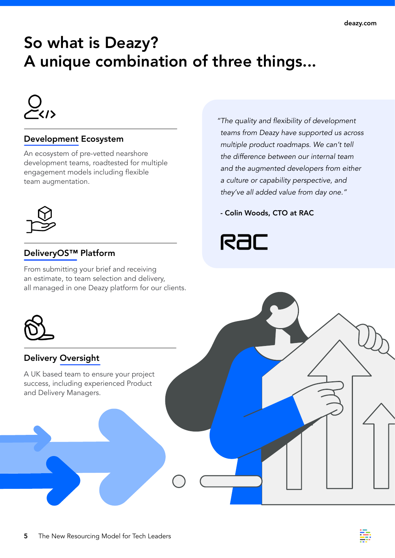## So what is Deazy? A unique combination of three things...



#### Development Ecosystem

An ecosystem of pre-vetted nearshore development teams, roadtested for multiple engagement models including flexible team augmentation.



#### DeliveryOS™ Platform

From submitting your brief and receiving an estimate, to team selection and delivery, all managed in one Deazy platform for our clients. "The quality and flexibility of development teams from Deazy have supported us across multiple product roadmaps. We can't tell the difference between our internal team and the augmented developers from either a culture or capability perspective, and they've all added value from day one."

- Colin Woods, CTO at RAC





#### Delivery Oversight

A UK based team to ensure your project success, including experienced Product and Delivery Managers.